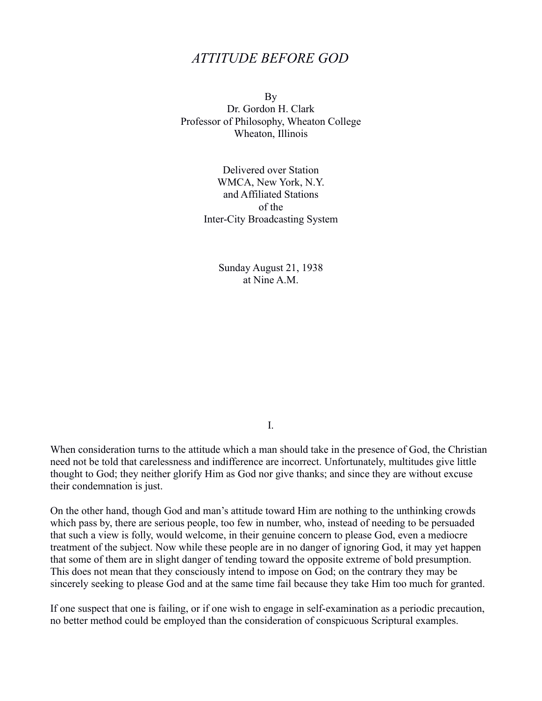## *ATTITUDE BEFORE GOD*

By Dr. Gordon H. Clark Professor of Philosophy, Wheaton College Wheaton, Illinois

> Delivered over Station WMCA, New York, N.Y. and Affiliated Stations of the Inter-City Broadcasting System

> > Sunday August 21, 1938 at Nine A M

> > > I.

When consideration turns to the attitude which a man should take in the presence of God, the Christian need not be told that carelessness and indifference are incorrect. Unfortunately, multitudes give little thought to God; they neither glorify Him as God nor give thanks; and since they are without excuse their condemnation is just.

On the other hand, though God and man's attitude toward Him are nothing to the unthinking crowds which pass by, there are serious people, too few in number, who, instead of needing to be persuaded that such a view is folly, would welcome, in their genuine concern to please God, even a mediocre treatment of the subject. Now while these people are in no danger of ignoring God, it may yet happen that some of them are in slight danger of tending toward the opposite extreme of bold presumption. This does not mean that they consciously intend to impose on God; on the contrary they may be sincerely seeking to please God and at the same time fail because they take Him too much for granted.

If one suspect that one is failing, or if one wish to engage in self-examination as a periodic precaution, no better method could be employed than the consideration of conspicuous Scriptural examples.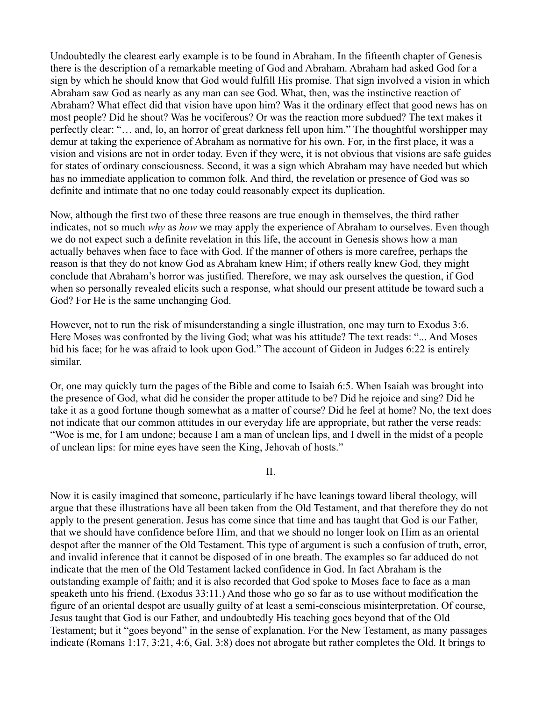Undoubtedly the clearest early example is to be found in Abraham. In the fifteenth chapter of Genesis there is the description of a remarkable meeting of God and Abraham. Abraham had asked God for a sign by which he should know that God would fulfill His promise. That sign involved a vision in which Abraham saw God as nearly as any man can see God. What, then, was the instinctive reaction of Abraham? What effect did that vision have upon him? Was it the ordinary effect that good news has on most people? Did he shout? Was he vociferous? Or was the reaction more subdued? The text makes it perfectly clear: "… and, lo, an horror of great darkness fell upon him." The thoughtful worshipper may demur at taking the experience of Abraham as normative for his own. For, in the first place, it was a vision and visions are not in order today. Even if they were, it is not obvious that visions are safe guides for states of ordinary consciousness. Second, it was a sign which Abraham may have needed but which has no immediate application to common folk. And third, the revelation or presence of God was so definite and intimate that no one today could reasonably expect its duplication.

Now, although the first two of these three reasons are true enough in themselves, the third rather indicates, not so much *why* as *how* we may apply the experience of Abraham to ourselves. Even though we do not expect such a definite revelation in this life, the account in Genesis shows how a man actually behaves when face to face with God. If the manner of others is more carefree, perhaps the reason is that they do not know God as Abraham knew Him; if others really knew God, they might conclude that Abraham's horror was justified. Therefore, we may ask ourselves the question, if God when so personally revealed elicits such a response, what should our present attitude be toward such a God? For He is the same unchanging God.

However, not to run the risk of misunderstanding a single illustration, one may turn to Exodus 3:6. Here Moses was confronted by the living God; what was his attitude? The text reads: "... And Moses hid his face; for he was afraid to look upon God." The account of Gideon in Judges 6:22 is entirely similar.

Or, one may quickly turn the pages of the Bible and come to Isaiah 6:5. When Isaiah was brought into the presence of God, what did he consider the proper attitude to be? Did he rejoice and sing? Did he take it as a good fortune though somewhat as a matter of course? Did he feel at home? No, the text does not indicate that our common attitudes in our everyday life are appropriate, but rather the verse reads: "Woe is me, for I am undone; because I am a man of unclean lips, and I dwell in the midst of a people of unclean lips: for mine eyes have seen the King, Jehovah of hosts."

## II.

Now it is easily imagined that someone, particularly if he have leanings toward liberal theology, will argue that these illustrations have all been taken from the Old Testament, and that therefore they do not apply to the present generation. Jesus has come since that time and has taught that God is our Father, that we should have confidence before Him, and that we should no longer look on Him as an oriental despot after the manner of the Old Testament. This type of argument is such a confusion of truth, error, and invalid inference that it cannot be disposed of in one breath. The examples so far adduced do not indicate that the men of the Old Testament lacked confidence in God. In fact Abraham is the outstanding example of faith; and it is also recorded that God spoke to Moses face to face as a man speaketh unto his friend. (Exodus 33:11.) And those who go so far as to use without modification the figure of an oriental despot are usually guilty of at least a semi-conscious misinterpretation. Of course, Jesus taught that God is our Father, and undoubtedly His teaching goes beyond that of the Old Testament; but it "goes beyond" in the sense of explanation. For the New Testament, as many passages indicate (Romans 1:17, 3:21, 4:6, Gal. 3:8) does not abrogate but rather completes the Old. It brings to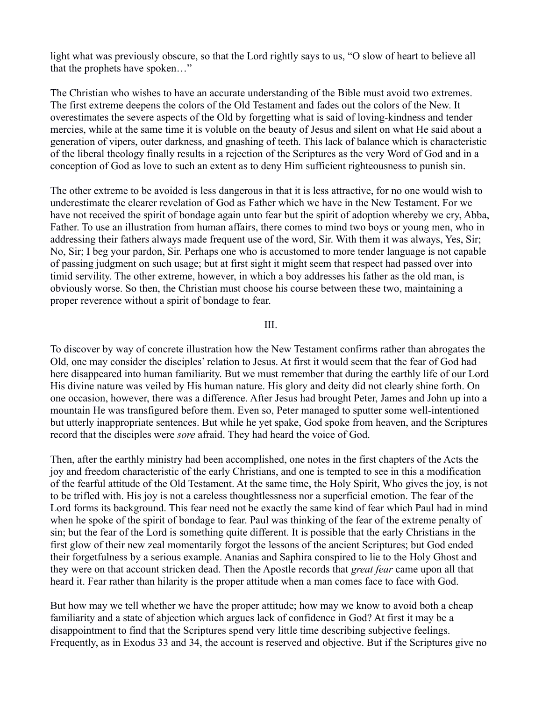light what was previously obscure, so that the Lord rightly says to us, "O slow of heart to believe all that the prophets have spoken…"

The Christian who wishes to have an accurate understanding of the Bible must avoid two extremes. The first extreme deepens the colors of the Old Testament and fades out the colors of the New. It overestimates the severe aspects of the Old by forgetting what is said of loving-kindness and tender mercies, while at the same time it is voluble on the beauty of Jesus and silent on what He said about a generation of vipers, outer darkness, and gnashing of teeth. This lack of balance which is characteristic of the liberal theology finally results in a rejection of the Scriptures as the very Word of God and in a conception of God as love to such an extent as to deny Him sufficient righteousness to punish sin.

The other extreme to be avoided is less dangerous in that it is less attractive, for no one would wish to underestimate the clearer revelation of God as Father which we have in the New Testament. For we have not received the spirit of bondage again unto fear but the spirit of adoption whereby we cry, Abba, Father. To use an illustration from human affairs, there comes to mind two boys or young men, who in addressing their fathers always made frequent use of the word, Sir. With them it was always, Yes, Sir; No, Sir; I beg your pardon, Sir. Perhaps one who is accustomed to more tender language is not capable of passing judgment on such usage; but at first sight it might seem that respect had passed over into timid servility. The other extreme, however, in which a boy addresses his father as the old man, is obviously worse. So then, the Christian must choose his course between these two, maintaining a proper reverence without a spirit of bondage to fear.

III.

To discover by way of concrete illustration how the New Testament confirms rather than abrogates the Old, one may consider the disciples' relation to Jesus. At first it would seem that the fear of God had here disappeared into human familiarity. But we must remember that during the earthly life of our Lord His divine nature was veiled by His human nature. His glory and deity did not clearly shine forth. On one occasion, however, there was a difference. After Jesus had brought Peter, James and John up into a mountain He was transfigured before them. Even so, Peter managed to sputter some well-intentioned but utterly inappropriate sentences. But while he yet spake, God spoke from heaven, and the Scriptures record that the disciples were *sore* afraid. They had heard the voice of God.

Then, after the earthly ministry had been accomplished, one notes in the first chapters of the Acts the joy and freedom characteristic of the early Christians, and one is tempted to see in this a modification of the fearful attitude of the Old Testament. At the same time, the Holy Spirit, Who gives the joy, is not to be trifled with. His joy is not a careless thoughtlessness nor a superficial emotion. The fear of the Lord forms its background. This fear need not be exactly the same kind of fear which Paul had in mind when he spoke of the spirit of bondage to fear. Paul was thinking of the fear of the extreme penalty of sin; but the fear of the Lord is something quite different. It is possible that the early Christians in the first glow of their new zeal momentarily forgot the lessons of the ancient Scriptures; but God ended their forgetfulness by a serious example. Ananias and Saphira conspired to lie to the Holy Ghost and they were on that account stricken dead. Then the Apostle records that *great fear* came upon all that heard it. Fear rather than hilarity is the proper attitude when a man comes face to face with God.

But how may we tell whether we have the proper attitude; how may we know to avoid both a cheap familiarity and a state of abjection which argues lack of confidence in God? At first it may be a disappointment to find that the Scriptures spend very little time describing subjective feelings. Frequently, as in Exodus 33 and 34, the account is reserved and objective. But if the Scriptures give no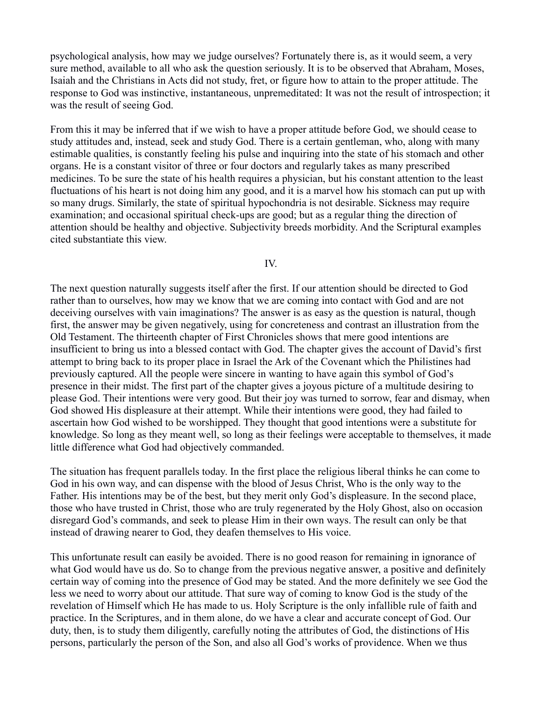psychological analysis, how may we judge ourselves? Fortunately there is, as it would seem, a very sure method, available to all who ask the question seriously. It is to be observed that Abraham, Moses, Isaiah and the Christians in Acts did not study, fret, or figure how to attain to the proper attitude. The response to God was instinctive, instantaneous, unpremeditated: It was not the result of introspection; it was the result of seeing God.

From this it may be inferred that if we wish to have a proper attitude before God, we should cease to study attitudes and, instead, seek and study God. There is a certain gentleman, who, along with many estimable qualities, is constantly feeling his pulse and inquiring into the state of his stomach and other organs. He is a constant visitor of three or four doctors and regularly takes as many prescribed medicines. To be sure the state of his health requires a physician, but his constant attention to the least fluctuations of his heart is not doing him any good, and it is a marvel how his stomach can put up with so many drugs. Similarly, the state of spiritual hypochondria is not desirable. Sickness may require examination; and occasional spiritual check-ups are good; but as a regular thing the direction of attention should be healthy and objective. Subjectivity breeds morbidity. And the Scriptural examples cited substantiate this view.

IV.

The next question naturally suggests itself after the first. If our attention should be directed to God rather than to ourselves, how may we know that we are coming into contact with God and are not deceiving ourselves with vain imaginations? The answer is as easy as the question is natural, though first, the answer may be given negatively, using for concreteness and contrast an illustration from the Old Testament. The thirteenth chapter of First Chronicles shows that mere good intentions are insufficient to bring us into a blessed contact with God. The chapter gives the account of David's first attempt to bring back to its proper place in Israel the Ark of the Covenant which the Philistines had previously captured. All the people were sincere in wanting to have again this symbol of God's presence in their midst. The first part of the chapter gives a joyous picture of a multitude desiring to please God. Their intentions were very good. But their joy was turned to sorrow, fear and dismay, when God showed His displeasure at their attempt. While their intentions were good, they had failed to ascertain how God wished to be worshipped. They thought that good intentions were a substitute for knowledge. So long as they meant well, so long as their feelings were acceptable to themselves, it made little difference what God had objectively commanded.

The situation has frequent parallels today. In the first place the religious liberal thinks he can come to God in his own way, and can dispense with the blood of Jesus Christ, Who is the only way to the Father. His intentions may be of the best, but they merit only God's displeasure. In the second place, those who have trusted in Christ, those who are truly regenerated by the Holy Ghost, also on occasion disregard God's commands, and seek to please Him in their own ways. The result can only be that instead of drawing nearer to God, they deafen themselves to His voice.

This unfortunate result can easily be avoided. There is no good reason for remaining in ignorance of what God would have us do. So to change from the previous negative answer, a positive and definitely certain way of coming into the presence of God may be stated. And the more definitely we see God the less we need to worry about our attitude. That sure way of coming to know God is the study of the revelation of Himself which He has made to us. Holy Scripture is the only infallible rule of faith and practice. In the Scriptures, and in them alone, do we have a clear and accurate concept of God. Our duty, then, is to study them diligently, carefully noting the attributes of God, the distinctions of His persons, particularly the person of the Son, and also all God's works of providence. When we thus